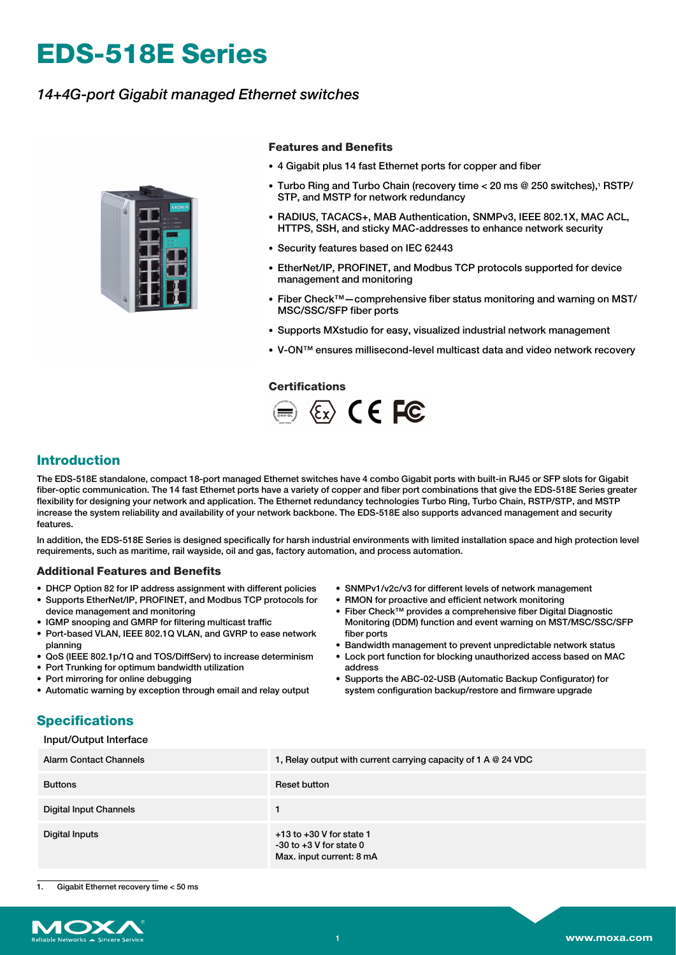# **EDS-518E Series**

## *14+4G-port Gigabit managed Ethernet switches*



#### **Features and Benefits**

- 4 Gigabit plus 14 fast Ethernet ports for copper and fiber
- Turbo Ring and Turbo Chain (recovery time < 20 ms @ 250 switches),<sup>1</sup> RSTP/ STP, and MSTP for network redundancy
- RADIUS, TACACS+, MAB Authentication, SNMPv3, IEEE 802.1X, MAC ACL, HTTPS, SSH, and sticky MAC-addresses to enhance network security
- Security features based on IEC 62443
- EtherNet/IP, PROFINET, and Modbus TCP protocols supported for device management and monitoring
- Fiber Check™—comprehensive fiber status monitoring and warning on MST/ MSC/SSC/SFP fiber ports
- Supports MXstudio for easy, visualized industrial network management
- V-ON™ ensures millisecond-level multicast data and video network recovery

#### **Certifications**



### **Introduction**

The EDS-518E standalone, compact 18-port managed Ethernet switches have 4 combo Gigabit ports with built-in RJ45 or SFP slots for Gigabit fiber-optic communication. The 14 fast Ethernet ports have a variety of copper and fiber port combinations that give the EDS-518E Series greater flexibility for designing your network and application. The Ethernet redundancy technologies Turbo Ring, Turbo Chain, RSTP/STP, and MSTP increase the system reliability and availability of your network backbone. The EDS-518E also supports advanced management and security features.

In addition, the EDS-518E Series is designed specifically for harsh industrial environments with limited installation space and high protection level requirements, such as maritime, rail wayside, oil and gas, factory automation, and process automation.

#### **Additional Features and Benefits**

- DHCP Option 82 for IP address assignment with different policies
- Supports EtherNet/IP, PROFINET, and Modbus TCP protocols for device management and monitoring
- IGMP snooping and GMRP for filtering multicast traffic
- Port-based VLAN, IEEE 802.1Q VLAN, and GVRP to ease network planning
- QoS (IEEE 802.1p/1Q and TOS/DiffServ) to increase determinism
- Port Trunking for optimum bandwidth utilization • Port mirroring for online debugging
- Automatic warning by exception through email and relay output
- SNMPv1/v2c/v3 for different levels of network management
- RMON for proactive and efficient network monitoring
- Fiber Check™ provides a comprehensive fiber Digital Diagnostic Monitoring (DDM) function and event warning on MST/MSC/SSC/SFP fiber ports
- Bandwidth management to prevent unpredictable network status
- Lock port function for blocking unauthorized access based on MAC address
- Supports the ABC-02-USB (Automatic Backup Configurator) for system configuration backup/restore and firmware upgrade

### **Specifications**

#### Input/Output Interface

| Alarm Contact Channels | 1, Relay output with current carrying capacity of 1 A $@$ 24 VDC                        |
|------------------------|-----------------------------------------------------------------------------------------|
| <b>Buttons</b>         | Reset button                                                                            |
| Digital Input Channels |                                                                                         |
| Digital Inputs         | $+13$ to $+30$ V for state 1<br>$-30$ to $+3$ V for state 0<br>Max. input current: 8 mA |

Gigabit Ethernet recovery time < 50 ms

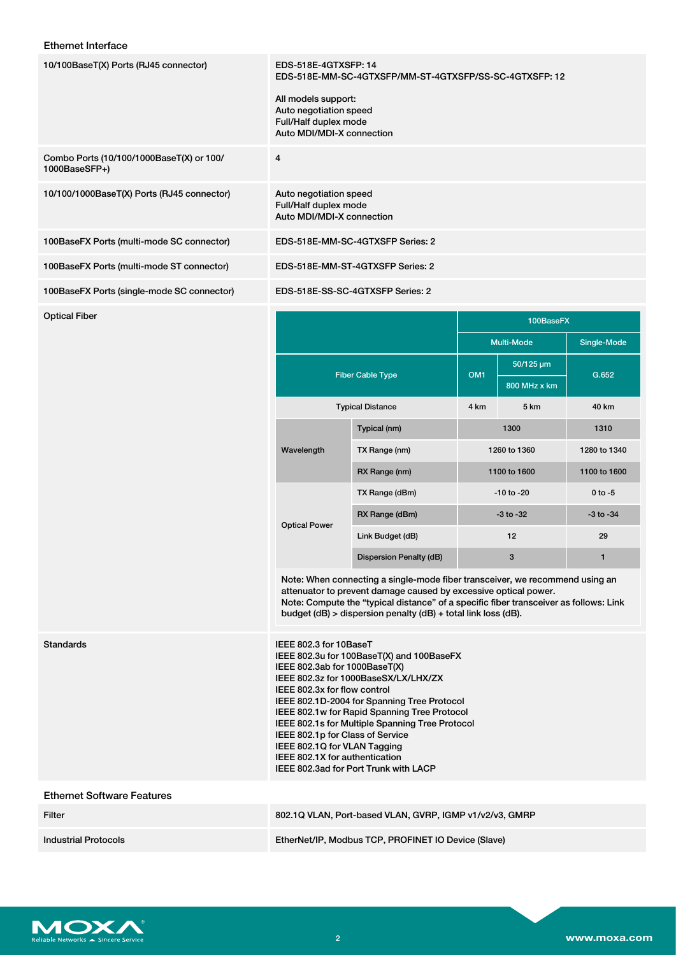#### Ethernet Interface

| 10/100BaseT(X) Ports (RJ45 connector)                     | EDS-518E-4GTXSFP: 14<br>EDS-518E-MM-SC-4GTXSFP/MM-ST-4GTXSFP/SS-SC-4GTXSFP: 12<br>All models support:<br>Auto negotiation speed<br>Full/Half duplex mode<br>Auto MDI/MDI-X connection |
|-----------------------------------------------------------|---------------------------------------------------------------------------------------------------------------------------------------------------------------------------------------|
| Combo Ports (10/100/1000BaseT(X) or 100/<br>1000BaseSFP+) | 4                                                                                                                                                                                     |
| 10/100/1000BaseT(X) Ports (RJ45 connector)                | Auto negotiation speed<br>Full/Half duplex mode<br>Auto MDI/MDI-X connection                                                                                                          |
| 100BaseFX Ports (multi-mode SC connector)                 | EDS-518E-MM-SC-4GTXSFP Series: 2                                                                                                                                                      |
| 100BaseFX Ports (multi-mode ST connector)                 | EDS-518E-MM-ST-4GTXSFP Series: 2                                                                                                                                                      |
| 100BaseFX Ports (single-mode SC connector)                | EDS-518E-SS-SC-4GTXSFP Series: 2                                                                                                                                                      |

| Optical Fiber |                         |                         | 100BaseFX       |                  |               |
|---------------|-------------------------|-------------------------|-----------------|------------------|---------------|
|               |                         |                         |                 | Multi-Mode       | Single-Mode   |
|               | <b>Fiber Cable Type</b> |                         | OM <sub>1</sub> | $50/125 \,\mu m$ | G.652         |
|               |                         |                         |                 | 800 MHz x km     |               |
|               |                         | <b>Typical Distance</b> | 4 km            | 5 km             | 40 km         |
|               | Wavelength              | Typical (nm)            | 1300            |                  | 1310          |
|               |                         | TX Range (nm)           |                 | 1260 to 1360     | 1280 to 1340  |
|               |                         | RX Range (nm)           |                 | 1100 to 1600     | 1100 to 1600  |
|               | <b>Optical Power</b>    | TX Range (dBm)          |                 | $-10$ to $-20$   | $0$ to $-5$   |
|               |                         | RX Range (dBm)          | $-3$ to $-32$   |                  | $-3$ to $-34$ |
|               |                         | Link Budget (dB)        |                 | 12               | 29            |
|               |                         | Dispersion Penalty (dB) |                 | $\mathbf{3}$     | $\mathbf{1}$  |

Note: When connecting a single-mode fiber transceiver, we recommend using an attenuator to prevent damage caused by excessive optical power. Note: Compute the "typical distance" of a specific fiber transceiver as follows: Link budget (dB) > dispersion penalty (dB) + total link loss (dB).

### Standards

| IEEE 802.3 for 10BaseT                          |
|-------------------------------------------------|
| IEEE 802.3u for 100BaseT(X) and 100BaseFX       |
| IEEE 802.3ab for 1000BaseT(X)                   |
| IEEE 802.3z for 1000BaseSX/LX/LHX/ZX            |
| IEEE 802.3x for flow control                    |
| IEEE 802.1D-2004 for Spanning Tree Protocol     |
| IEEE 802.1w for Rapid Spanning Tree Protocol    |
| IEEE 802.1s for Multiple Spanning Tree Protocol |
| IEEE 802.1p for Class of Service                |
| IEEE 802.1Q for VLAN Tagging                    |
| IEEE 802.1X for authentication                  |
| IEEE 802.3ad for Port Trunk with LACP           |

#### Ethernet Software Features

| Filter               | 802.1Q VLAN, Port-based VLAN, GVRP, IGMP v1/v2/v3, GMRP |
|----------------------|---------------------------------------------------------|
| Industrial Protocols | EtherNet/IP, Modbus TCP, PROFINET IO Device (Slave)     |

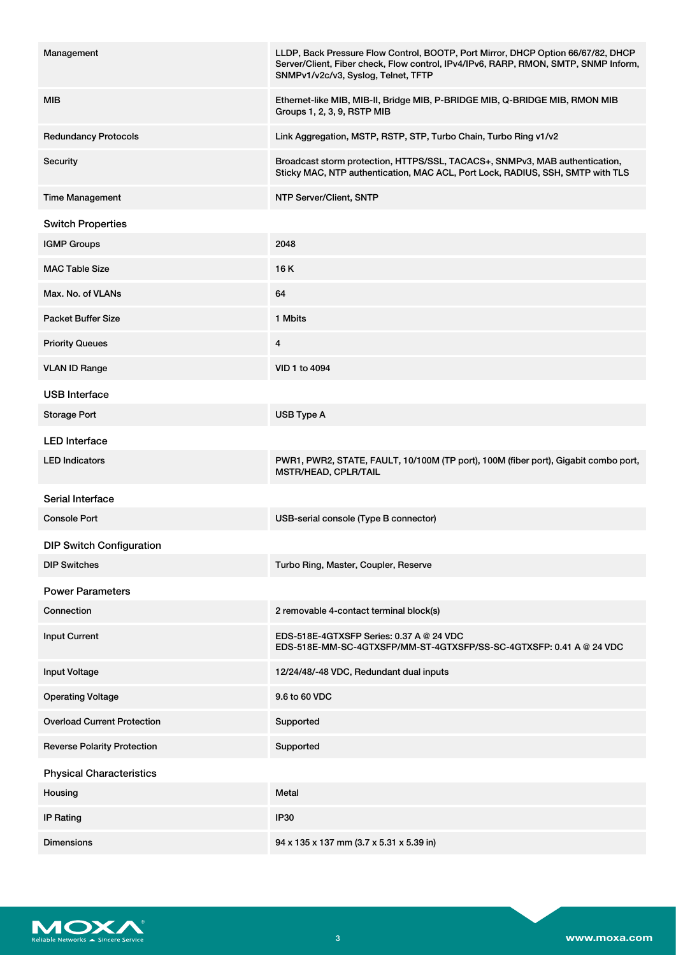| Management                         | LLDP, Back Pressure Flow Control, BOOTP, Port Mirror, DHCP Option 66/67/82, DHCP<br>Server/Client, Fiber check, Flow control, IPv4/IPv6, RARP, RMON, SMTP, SNMP Inform,<br>SNMPv1/v2c/v3, Syslog, Telnet, TFTP |
|------------------------------------|----------------------------------------------------------------------------------------------------------------------------------------------------------------------------------------------------------------|
| MIB                                | Ethernet-like MIB, MIB-II, Bridge MIB, P-BRIDGE MIB, Q-BRIDGE MIB, RMON MIB<br>Groups 1, 2, 3, 9, RSTP MIB                                                                                                     |
| <b>Redundancy Protocols</b>        | Link Aggregation, MSTP, RSTP, STP, Turbo Chain, Turbo Ring v1/v2                                                                                                                                               |
| Security                           | Broadcast storm protection, HTTPS/SSL, TACACS+, SNMPv3, MAB authentication,<br>Sticky MAC, NTP authentication, MAC ACL, Port Lock, RADIUS, SSH, SMTP with TLS                                                  |
| <b>Time Management</b>             | NTP Server/Client, SNTP                                                                                                                                                                                        |
| <b>Switch Properties</b>           |                                                                                                                                                                                                                |
| <b>IGMP Groups</b>                 | 2048                                                                                                                                                                                                           |
| <b>MAC Table Size</b>              | 16 K                                                                                                                                                                                                           |
| Max. No. of VLANs                  | 64                                                                                                                                                                                                             |
| <b>Packet Buffer Size</b>          | 1 Mbits                                                                                                                                                                                                        |
| <b>Priority Queues</b>             | 4                                                                                                                                                                                                              |
| <b>VLAN ID Range</b>               | VID 1 to 4094                                                                                                                                                                                                  |
| <b>USB Interface</b>               |                                                                                                                                                                                                                |
| <b>Storage Port</b>                | USB Type A                                                                                                                                                                                                     |
| <b>LED</b> Interface               |                                                                                                                                                                                                                |
| <b>LED Indicators</b>              | PWR1, PWR2, STATE, FAULT, 10/100M (TP port), 100M (fiber port), Gigabit combo port,<br>MSTR/HEAD, CPLR/TAIL                                                                                                    |
| Serial Interface                   |                                                                                                                                                                                                                |
| <b>Console Port</b>                | USB-serial console (Type B connector)                                                                                                                                                                          |
| <b>DIP Switch Configuration</b>    |                                                                                                                                                                                                                |
| <b>DIP Switches</b>                | Turbo Ring, Master, Coupler, Reserve                                                                                                                                                                           |
| <b>Power Parameters</b>            |                                                                                                                                                                                                                |
| Connection                         | 2 removable 4-contact terminal block(s)                                                                                                                                                                        |
| <b>Input Current</b>               | EDS-518E-4GTXSFP Series: 0.37 A @ 24 VDC<br>EDS-518E-MM-SC-4GTXSFP/MM-ST-4GTXSFP/SS-SC-4GTXSFP: 0.41 A @ 24 VDC                                                                                                |
| <b>Input Voltage</b>               | 12/24/48/-48 VDC, Redundant dual inputs                                                                                                                                                                        |
| <b>Operating Voltage</b>           | 9.6 to 60 VDC                                                                                                                                                                                                  |
| <b>Overload Current Protection</b> | Supported                                                                                                                                                                                                      |
| <b>Reverse Polarity Protection</b> | Supported                                                                                                                                                                                                      |
| <b>Physical Characteristics</b>    |                                                                                                                                                                                                                |
| Housing                            | Metal                                                                                                                                                                                                          |
| <b>IP Rating</b>                   | <b>IP30</b>                                                                                                                                                                                                    |
| <b>Dimensions</b>                  | 94 x 135 x 137 mm (3.7 x 5.31 x 5.39 in)                                                                                                                                                                       |

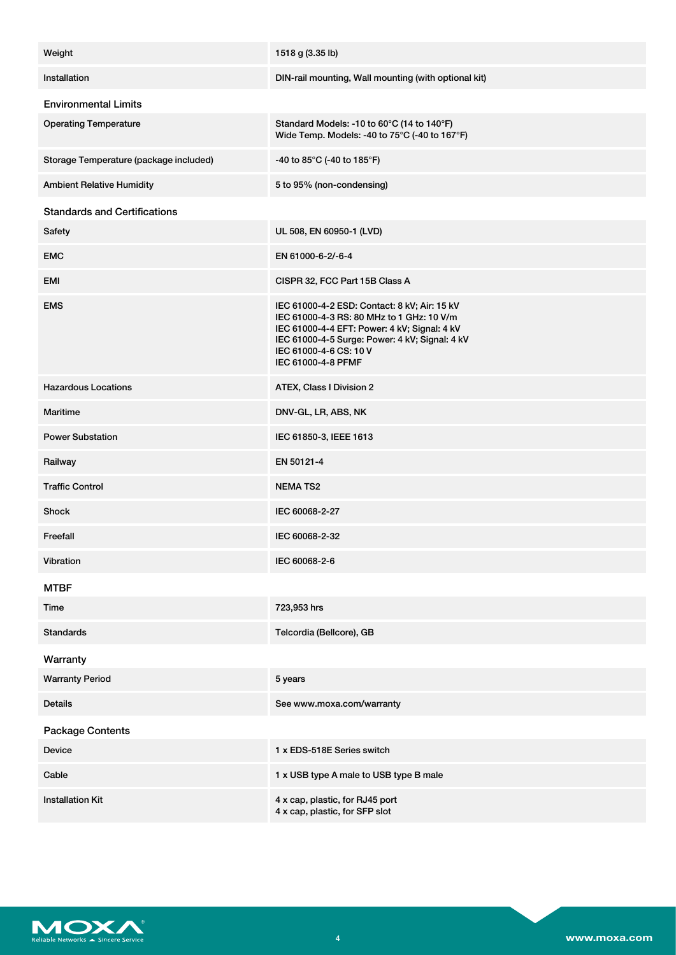| Weight                                 | 1518 g (3.35 lb)                                                                                                                                                                                                                            |
|----------------------------------------|---------------------------------------------------------------------------------------------------------------------------------------------------------------------------------------------------------------------------------------------|
|                                        |                                                                                                                                                                                                                                             |
| Installation                           | DIN-rail mounting, Wall mounting (with optional kit)                                                                                                                                                                                        |
| <b>Environmental Limits</b>            |                                                                                                                                                                                                                                             |
| <b>Operating Temperature</b>           | Standard Models: -10 to 60°C (14 to 140°F)<br>Wide Temp. Models: -40 to 75°C (-40 to 167°F)                                                                                                                                                 |
| Storage Temperature (package included) | -40 to 85°C (-40 to 185°F)                                                                                                                                                                                                                  |
| <b>Ambient Relative Humidity</b>       | 5 to 95% (non-condensing)                                                                                                                                                                                                                   |
| <b>Standards and Certifications</b>    |                                                                                                                                                                                                                                             |
| Safety                                 | UL 508, EN 60950-1 (LVD)                                                                                                                                                                                                                    |
| <b>EMC</b>                             | EN 61000-6-2/-6-4                                                                                                                                                                                                                           |
| <b>EMI</b>                             | CISPR 32, FCC Part 15B Class A                                                                                                                                                                                                              |
| <b>EMS</b>                             | IEC 61000-4-2 ESD: Contact: 8 kV; Air: 15 kV<br>IEC 61000-4-3 RS: 80 MHz to 1 GHz: 10 V/m<br>IEC 61000-4-4 EFT: Power: 4 kV; Signal: 4 kV<br>IEC 61000-4-5 Surge: Power: 4 kV; Signal: 4 kV<br>IEC 61000-4-6 CS: 10 V<br>IEC 61000-4-8 PFMF |
| <b>Hazardous Locations</b>             | ATEX, Class I Division 2                                                                                                                                                                                                                    |
| Maritime                               | DNV-GL, LR, ABS, NK                                                                                                                                                                                                                         |
| <b>Power Substation</b>                | IEC 61850-3, IEEE 1613                                                                                                                                                                                                                      |
| Railway                                | EN 50121-4                                                                                                                                                                                                                                  |
| <b>Traffic Control</b>                 | <b>NEMATS2</b>                                                                                                                                                                                                                              |
| Shock                                  | IEC 60068-2-27                                                                                                                                                                                                                              |
| Freefall                               | IEC 60068-2-32                                                                                                                                                                                                                              |
| Vibration                              | IEC 60068-2-6                                                                                                                                                                                                                               |
| <b>MTBF</b>                            |                                                                                                                                                                                                                                             |
| Time                                   | 723,953 hrs                                                                                                                                                                                                                                 |
| <b>Standards</b>                       | Telcordia (Bellcore), GB                                                                                                                                                                                                                    |
| Warranty                               |                                                                                                                                                                                                                                             |
| <b>Warranty Period</b>                 | 5 years                                                                                                                                                                                                                                     |
| <b>Details</b>                         | See www.moxa.com/warranty                                                                                                                                                                                                                   |
| <b>Package Contents</b>                |                                                                                                                                                                                                                                             |
| Device                                 | 1 x EDS-518E Series switch                                                                                                                                                                                                                  |
| Cable                                  | 1 x USB type A male to USB type B male                                                                                                                                                                                                      |
| <b>Installation Kit</b>                | 4 x cap, plastic, for RJ45 port<br>4 x cap, plastic, for SFP slot                                                                                                                                                                           |

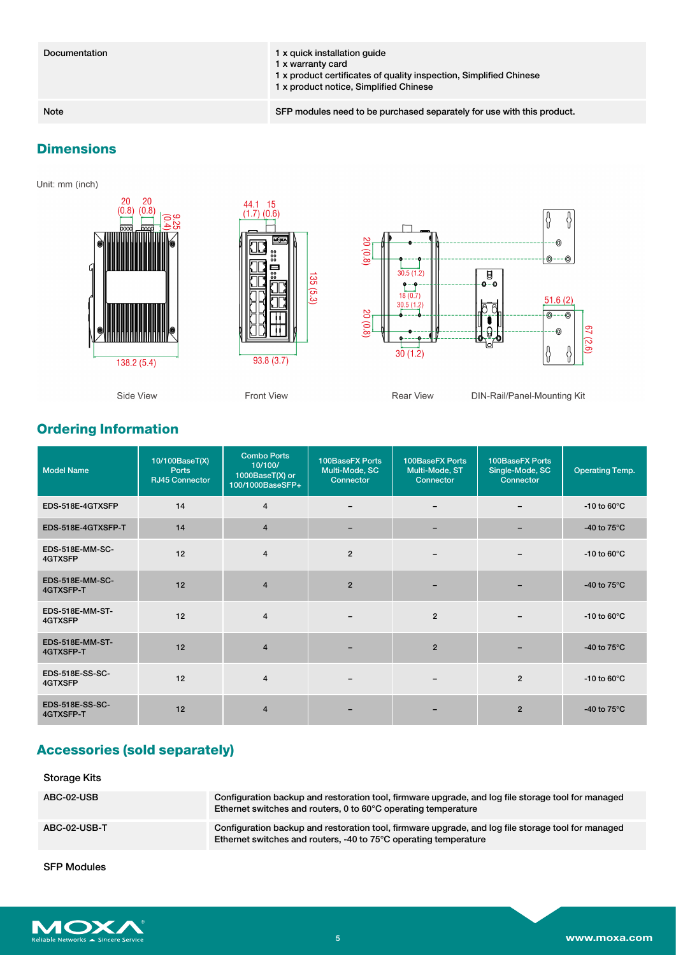| Documentation | 1 x quick installation quide<br>1 x warranty card<br>1 x product certificates of quality inspection, Simplified Chinese<br>1 x product notice, Simplified Chinese |
|---------------|-------------------------------------------------------------------------------------------------------------------------------------------------------------------|
| Note          | SFP modules need to be purchased separately for use with this product.                                                                                            |

# **Dimensions**

Unit: mm (inch)



# **Ordering Information**

| <b>Model Name</b>            | 10/100BaseT(X)<br>Ports<br><b>RJ45 Connector</b> | <b>Combo Ports</b><br>10/100/<br>1000BaseT(X) or<br>100/1000BaseSFP+ | 100BaseFX Ports<br>Multi-Mode, SC<br>Connector | 100BaseFX Ports<br>Multi-Mode, ST<br>Connector | 100BaseFX Ports<br>Single-Mode, SC<br>Connector | <b>Operating Temp.</b>  |
|------------------------------|--------------------------------------------------|----------------------------------------------------------------------|------------------------------------------------|------------------------------------------------|-------------------------------------------------|-------------------------|
| EDS-518E-4GTXSFP             | 14                                               | $\overline{4}$                                                       |                                                |                                                |                                                 | $-10$ to 60 $\degree$ C |
| EDS-518E-4GTXSFP-T           | 14                                               | $\overline{4}$                                                       | $\overline{\phantom{0}}$                       |                                                |                                                 | -40 to $75^{\circ}$ C   |
| EDS-518E-MM-SC-<br>4GTXSFP   | 12                                               | $\overline{4}$                                                       | $\overline{2}$                                 |                                                |                                                 | $-10$ to 60 $\degree$ C |
| EDS-518E-MM-SC-<br>4GTXSFP-T | 12                                               | $\overline{4}$                                                       | $\overline{2}$                                 |                                                |                                                 | -40 to $75^{\circ}$ C   |
| EDS-518E-MM-ST-<br>4GTXSFP   | 12                                               | $\overline{4}$                                                       |                                                | $\overline{2}$                                 |                                                 | $-10$ to 60 $\degree$ C |
| EDS-518E-MM-ST-<br>4GTXSFP-T | 12                                               | $\overline{4}$                                                       |                                                | $\overline{2}$                                 |                                                 | -40 to $75^{\circ}$ C   |
| EDS-518E-SS-SC-<br>4GTXSFP   | 12                                               | $\overline{4}$                                                       |                                                |                                                | $\overline{2}$                                  | $-10$ to 60 $\degree$ C |
| EDS-518E-SS-SC-<br>4GTXSFP-T | 12                                               | $\overline{4}$                                                       |                                                |                                                | $\overline{2}$                                  | -40 to $75^{\circ}$ C   |

# **Accessories (sold separately)**

| Storage Kits |                                                                                                                                                                        |
|--------------|------------------------------------------------------------------------------------------------------------------------------------------------------------------------|
| ABC-02-USB   | Configuration backup and restoration tool, firmware upgrade, and log file storage tool for managed<br>Ethernet switches and routers, 0 to 60°C operating temperature   |
| ABC-02-USB-T | Configuration backup and restoration tool, firmware upgrade, and log file storage tool for managed<br>Ethernet switches and routers, -40 to 75°C operating temperature |

SFP Modules

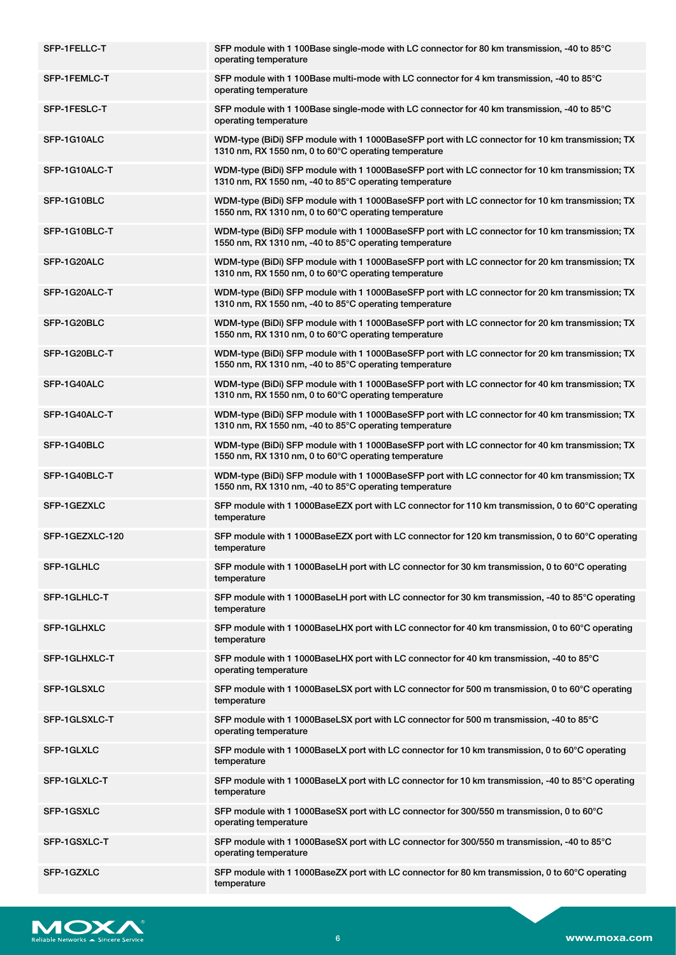| SFP-1FELLC-T    | SFP module with 1 100Base single-mode with LC connector for 80 km transmission, -40 to 85°C<br>operating temperature                                      |
|-----------------|-----------------------------------------------------------------------------------------------------------------------------------------------------------|
| SFP-1FEMLC-T    | SFP module with 1 100Base multi-mode with LC connector for 4 km transmission, -40 to 85°C<br>operating temperature                                        |
| SFP-1FESLC-T    | SFP module with 1 100Base single-mode with LC connector for 40 km transmission, -40 to 85°C<br>operating temperature                                      |
| SFP-1G10ALC     | WDM-type (BiDi) SFP module with 1 1000BaseSFP port with LC connector for 10 km transmission; TX<br>1310 nm, RX 1550 nm, 0 to 60°C operating temperature   |
| SFP-1G10ALC-T   | WDM-type (BiDi) SFP module with 1 1000BaseSFP port with LC connector for 10 km transmission; TX<br>1310 nm, RX 1550 nm, -40 to 85°C operating temperature |
| SFP-1G10BLC     | WDM-type (BiDi) SFP module with 1 1000BaseSFP port with LC connector for 10 km transmission; TX<br>1550 nm, RX 1310 nm, 0 to 60°C operating temperature   |
| SFP-1G10BLC-T   | WDM-type (BiDi) SFP module with 1 1000BaseSFP port with LC connector for 10 km transmission; TX<br>1550 nm, RX 1310 nm, -40 to 85°C operating temperature |
| SFP-1G20ALC     | WDM-type (BiDi) SFP module with 1 1000BaseSFP port with LC connector for 20 km transmission; TX<br>1310 nm, RX 1550 nm, 0 to 60°C operating temperature   |
| SFP-1G20ALC-T   | WDM-type (BiDi) SFP module with 1 1000BaseSFP port with LC connector for 20 km transmission; TX<br>1310 nm, RX 1550 nm, -40 to 85°C operating temperature |
| SFP-1G20BLC     | WDM-type (BiDi) SFP module with 1 1000BaseSFP port with LC connector for 20 km transmission; TX<br>1550 nm, RX 1310 nm, 0 to 60°C operating temperature   |
| SFP-1G20BLC-T   | WDM-type (BiDi) SFP module with 1 1000BaseSFP port with LC connector for 20 km transmission; TX<br>1550 nm, RX 1310 nm, -40 to 85°C operating temperature |
| SFP-1G40ALC     | WDM-type (BiDi) SFP module with 1 1000BaseSFP port with LC connector for 40 km transmission; TX<br>1310 nm, RX 1550 nm, 0 to 60°C operating temperature   |
| SFP-1G40ALC-T   | WDM-type (BiDi) SFP module with 1 1000BaseSFP port with LC connector for 40 km transmission; TX<br>1310 nm, RX 1550 nm, -40 to 85°C operating temperature |
| SFP-1G40BLC     | WDM-type (BiDi) SFP module with 1 1000BaseSFP port with LC connector for 40 km transmission; TX<br>1550 nm, RX 1310 nm, 0 to 60°C operating temperature   |
| SFP-1G40BLC-T   | WDM-type (BiDi) SFP module with 1 1000BaseSFP port with LC connector for 40 km transmission; TX<br>1550 nm, RX 1310 nm, -40 to 85°C operating temperature |
| SFP-1GEZXLC     | SFP module with 1 1000BaseEZX port with LC connector for 110 km transmission, 0 to 60°C operating<br>temperature                                          |
| SFP-1GEZXLC-120 | SFP module with 1 1000BaseEZX port with LC connector for 120 km transmission, 0 to 60°C operating<br>temperature                                          |
| SFP-1GLHLC      | SFP module with 1 1000BaseLH port with LC connector for 30 km transmission, 0 to 60°C operating<br>temperature                                            |
| SFP-1GLHLC-T    | SFP module with 1 1000BaseLH port with LC connector for 30 km transmission, -40 to 85°C operating<br>temperature                                          |
| SFP-1GLHXLC     | SFP module with 1 1000BaseLHX port with LC connector for 40 km transmission, 0 to 60°C operating<br>temperature                                           |
| SFP-1GLHXLC-T   | SFP module with 1 1000BaseLHX port with LC connector for 40 km transmission, -40 to 85°C<br>operating temperature                                         |
| SFP-1GLSXLC     | SFP module with 1 1000BaseLSX port with LC connector for 500 m transmission, 0 to 60°C operating<br>temperature                                           |
| SFP-1GLSXLC-T   | SFP module with 1 1000BaseLSX port with LC connector for 500 m transmission, -40 to 85°C<br>operating temperature                                         |
| SFP-1GLXLC      | SFP module with 1 1000BaseLX port with LC connector for 10 km transmission, 0 to 60 $\degree$ C operating<br>temperature                                  |
| SFP-1GLXLC-T    | SFP module with 1 1000BaseLX port with LC connector for 10 km transmission, -40 to 85°C operating<br>temperature                                          |
| SFP-1GSXLC      | SFP module with 1 1000BaseSX port with LC connector for 300/550 m transmission, 0 to 60°C<br>operating temperature                                        |
| SFP-1GSXLC-T    | SFP module with 1 1000BaseSX port with LC connector for 300/550 m transmission, -40 to 85°C<br>operating temperature                                      |
| SFP-1GZXLC      | SFP module with 1 1000BaseZX port with LC connector for 80 km transmission, 0 to 60 $\degree$ C operating<br>temperature                                  |